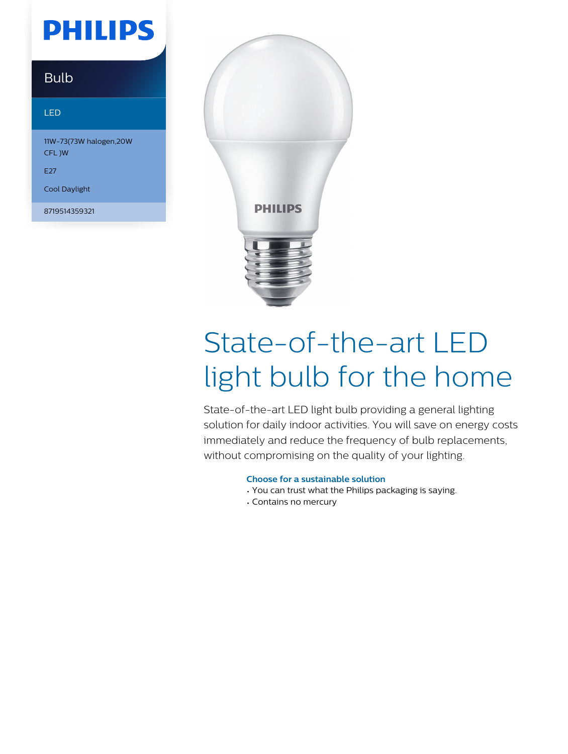## **PHILIPS**

### Bulb

#### LED

11W-73(73W halogen,20W CFL )W

E27

Cool Daylight

8719514359321



# State-of-the-art LED light bulb for the home

State-of-the-art LED light bulb providing a general lighting solution for daily indoor activities. You will save on energy costs immediately and reduce the frequency of bulb replacements, without compromising on the quality of your lighting.

#### **Choose for a sustainable solution**

- You can trust what the Philips packaging is saying.
- Contains no mercury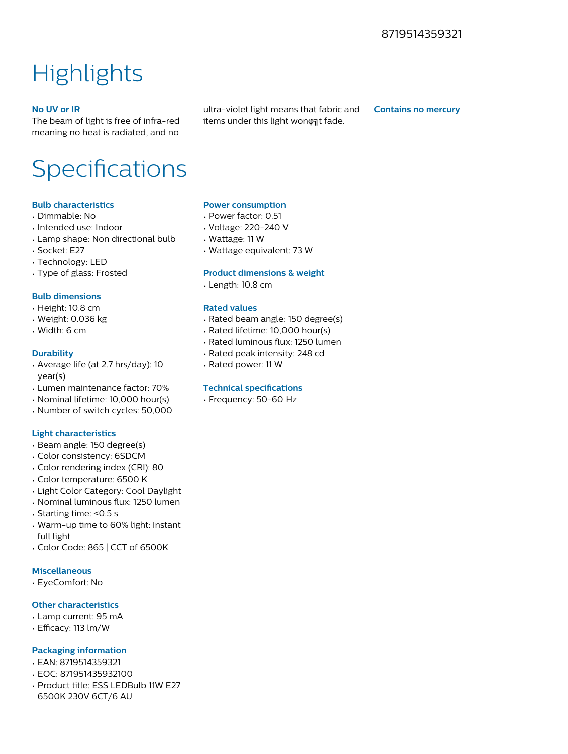### **Highlights**

#### **No UV or IR**

The beam of light is free of infra-red meaning no heat is radiated, and no ultra-violet light means that fabric and items under this light wonont fade.

**Contains no mercury**

### Specifications

#### **Bulb characteristics**

- Dimmable: No
- Intended use: Indoor
- Lamp shape: Non directional bulb
- Socket: E27
- Technology: LED
- Type of glass: Frosted

#### **Bulb dimensions**

- Height: 10.8 cm
- Weight: 0.036 kg
- Width: 6 cm

#### **Durability**

- Average life (at 2.7 hrs/day): 10 year(s)
- Lumen maintenance factor: 70%
- Nominal lifetime: 10,000 hour(s)
- Number of switch cycles: 50,000

#### **Light characteristics**

- Beam angle: 150 degree(s)
- Color consistency: 6SDCM
- Color rendering index (CRI): 80
- Color temperature: 6500 K
- Light Color Category: Cool Daylight
- Nominal luminous flux: 1250 lumen
- Starting time: <0.5 s
- Warm-up time to 60% light: Instant full light
- Color Code: 865 | CCT of 6500K

#### **Miscellaneous**

• EyeComfort: No

#### **Other characteristics**

- Lamp current: 95 mA
- Efficacy: 113 lm/W

#### **Packaging information**

- EAN: 8719514359321
- EOC: 871951435932100
- Product title: ESS LEDBulb 11W E27 6500K 230V 6CT/6 AU

#### **Power consumption**

- Power factor: 0.51
- Voltage: 220-240 V
- Wattage: 11 W
- Wattage equivalent: 73 W

#### **Product dimensions & weight**

• Length: 10.8 cm

#### **Rated values**

- Rated beam angle: 150 degree(s)
- Rated lifetime: 10,000 hour(s)
- Rated luminous flux: 1250 lumen
- Rated peak intensity: 248 cd
- Rated power: 11 W

#### **Technical specifications**

• Frequency: 50-60 Hz